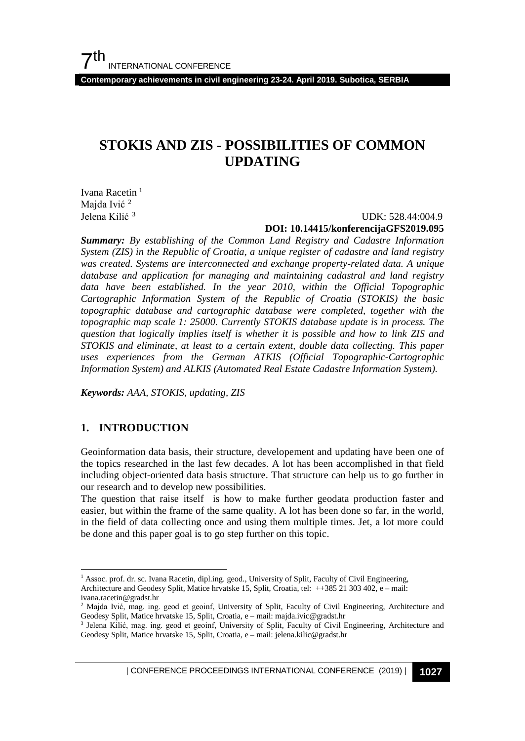**Contemporary achievements in civil engineering 23-24. April 2019. Subotica, SERBIA**

# **STOKIS AND ZIS - POSSIBILITIES OF COMMON UPDATING**

Ivana Racetin<sup>[1](#page-0-0)</sup> Majda Ivić<sup>[2](#page-0-1)</sup> Jelena Kilić [3](#page-0-2)

#### UDK: 528.44:004.9 **DOI: 10.14415/konferencijaGFS2019.095**

*Summary: By establishing of the Common Land Registry and Cadastre Information System (ZIS) in the Republic of Croatia, a unique register of cadastre and land registry was created. Systems are interconnected and exchange property-related data. A unique database and application for managing and maintaining cadastral and land registry data have been established. In the year 2010, within the Official Topographic Cartographic Information System of the Republic of Croatia (STOKIS) the basic topographic database and cartographic database were completed, together with the topographic map scale 1: 25000. Currently STOKIS database update is in process. The question that logically implies itself is whether it is possible and how to link ZIS and STOKIS and eliminate, at least to a certain extent, double data collecting. This paper uses experiences from the German ATKIS (Official Topographic-Cartographic Information System) and ALKIS (Automated Real Estate Cadastre Information System).*

*Keywords: AAA, STOKIS, updating, ZIS*

#### **1. INTRODUCTION**

Geoinformation data basis, their structure, developement and updating have been one of the topics researched in the last few decades. A lot has been accomplished in that field including object-oriented data basis structure. That structure can help us to go further in our research and to develop new possibilities.

The question that raise itself is how to make further geodata production faster and easier, but within the frame of the same quality. A lot has been done so far, in the world, in the field of data collecting once and using them multiple times. Jet, a lot more could be done and this paper goal is to go step further on this topic.

| CONFERENCE PROCEEDINGS INTERNATIONAL CONFERENCE (2019) <sup>|</sup>**1027**

<span id="page-0-0"></span><sup>&</sup>lt;sup>1</sup> Assoc. prof. dr. sc. Ivana Racetin, dipl.ing. geod., University of Split, Faculty of Civil Engineering, Architecture and Geodesy Split, Matice hrvatske 15, Split, Croatia, tel: ++385 21 303 402, e – mail: ivana.racetin@gradst.hr

<span id="page-0-1"></span><sup>&</sup>lt;sup>2</sup> Majda Ivić, mag. ing. geod et geoinf, University of Split, Faculty of Civil Engineering, Architecture and Geodesy Split, Matice hrvatske 15, Split, Croatia, e – mail: majda.ivic@gradst.hr

<span id="page-0-2"></span><sup>&</sup>lt;sup>3</sup> Jelena Kilić, mag. ing. geod et geoinf, University of Split, Faculty of Civil Engineering, Architecture and Geodesy Split, Matice hrvatske 15, Split, Croatia, e – mail: jelena.kilic@gradst.hr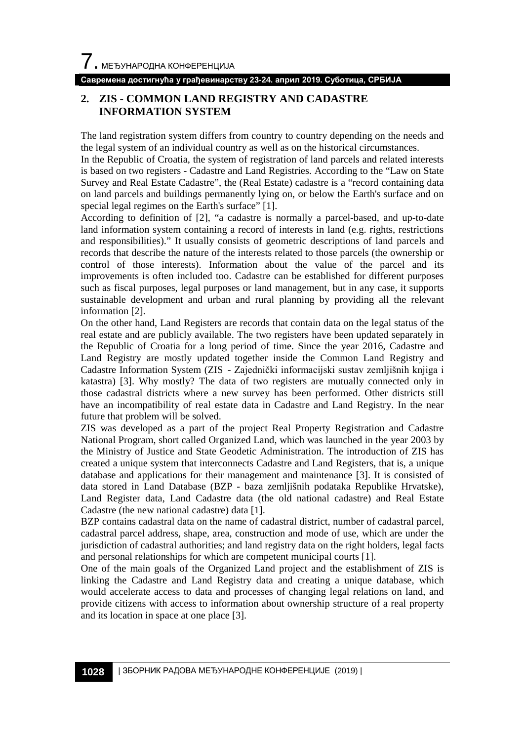**Савремена достигнућа у грађевинарству 23-24. април 2019. Суботица, СРБИЈА**

## **2. ZIS - COMMON LAND REGISTRY AND CADASTRE INFORMATION SYSTEM**

The land registration system differs from country to country depending on the needs and the legal system of an individual country as well as on the historical circumstances.

In the Republic of Croatia, the system of registration of land parcels and related interests is based on two registers - Cadastre and Land Registries. According to the "Law on State Survey and Real Estate Cadastre", the (Real Estate) cadastre is a "record containing data on land parcels and buildings permanently lying on, or below the Earth's surface and on special legal regimes on the Earth's surface" [1].

According to definition of [2], "a cadastre is normally a parcel-based, and up-to-date land information system containing a record of interests in land (e.g. rights, restrictions and responsibilities)." It usually consists of geometric descriptions of land parcels and records that describe the nature of the interests related to those parcels (the ownership or control of those interests). Information about the value of the parcel and its improvements is often included too. Cadastre can be established for different purposes such as fiscal purposes, legal purposes or land management, but in any case, it supports sustainable development and urban and rural planning by providing all the relevant information [2].

On the other hand, Land Registers are records that contain data on the legal status of the real estate and are publicly available. The two registers have been updated separately in the Republic of Croatia for a long period of time. Since the year 2016, Cadastre and Land Registry are mostly updated together inside the Common Land Registry and Cadastre Information System (ZIS - Zajednički informacijski sustav zemljišnih knjiga i katastra) [3]. Why mostly? The data of two registers are mutually connected only in those cadastral districts where a new survey has been performed. Other districts still have an incompatibility of real estate data in Cadastre and Land Registry. In the near future that problem will be solved.

ZIS was developed as a part of the project Real Property Registration and Cadastre National Program, short called Organized Land, which was launched in the year 2003 by the Ministry of Justice and State Geodetic Administration. The introduction of ZIS has created a unique system that interconnects Cadastre and Land Registers, that is, a unique database and applications for their management and maintenance [3]. It is consisted of data stored in Land Database (BZP - baza zemljišnih podataka Republike Hrvatske), Land Register data, Land Cadastre data (the old national cadastre) and Real Estate Cadastre (the new national cadastre) data [1].

BZP contains cadastral data on the name of cadastral district, number of cadastral parcel, cadastral parcel address, shape, area, construction and mode of use, which are under the jurisdiction of cadastral authorities; and land registry data on the right holders, legal facts and personal relationships for which are competent municipal courts [1].

One of the main goals of the Organized Land project and the establishment of ZIS is linking the Cadastre and Land Registry data and creating a unique database, which would accelerate access to data and processes of changing legal relations on land, and provide citizens with access to information about ownership structure of a real property and its location in space at one place [3].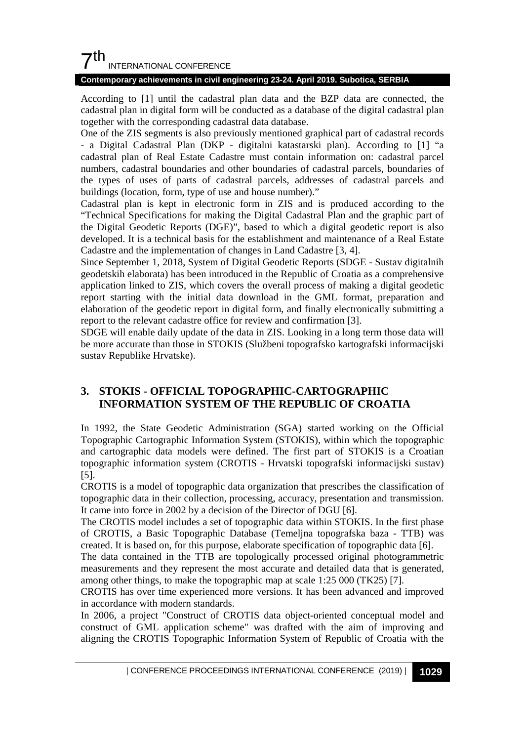## $7th$ INTERNATIONAL CONFERENCE

#### **Contemporary achievements in civil engineering 23-24. April 2019. Subotica, SERBIA**

According to [1] until the cadastral plan data and the BZP data are connected, the cadastral plan in digital form will be conducted as a database of the digital cadastral plan together with the corresponding cadastral data database.

One of the ZIS segments is also previously mentioned graphical part of cadastral records - a Digital Cadastral Plan (DKP - digitalni katastarski plan). According to [1] "a cadastral plan of Real Estate Cadastre must contain information on: cadastral parcel numbers, cadastral boundaries and other boundaries of cadastral parcels, boundaries of the types of uses of parts of cadastral parcels, addresses of cadastral parcels and buildings (location, form, type of use and house number)."

Cadastral plan is kept in electronic form in ZIS and is produced according to the "Technical Specifications for making the Digital Cadastral Plan and the graphic part of the Digital Geodetic Reports (DGE)", based to which a digital geodetic report is also developed. It is a technical basis for the establishment and maintenance of a Real Estate Cadastre and the implementation of changes in Land Cadastre [3, 4].

Since September 1, 2018, System of Digital Geodetic Reports (SDGE - Sustav digitalnih geodetskih elaborata) has been introduced in the Republic of Croatia as a comprehensive application linked to ZIS, which covers the overall process of making a digital geodetic report starting with the initial data download in the GML format, preparation and elaboration of the geodetic report in digital form, and finally electronically submitting a report to the relevant cadastre office for review and confirmation [3].

SDGE will enable daily update of the data in ZIS. Looking in a long term those data will be more accurate than those in STOKIS (Službeni topografsko kartografski informacijski sustav Republike Hrvatske).

## **3. STOKIS - OFFICIAL TOPOGRAPHIC-CARTOGRAPHIC INFORMATION SYSTEM OF THE REPUBLIC OF CROATIA**

In 1992, the State Geodetic Administration (SGA) started working on the Official Topographic Cartographic Information System (STOKIS), within which the topographic and cartographic data models were defined. The first part of STOKIS is a Croatian topographic information system (CROTIS - Hrvatski topografski informacijski sustav) [5].

CROTIS is a model of topographic data organization that prescribes the classification of topographic data in their collection, processing, accuracy, presentation and transmission. It came into force in 2002 by a decision of the Director of DGU [6].

The CROTIS model includes a set of topographic data within STOKIS. In the first phase of CROTIS, a Basic Topographic Database (Temeljna topografska baza - TTB) was created. It is based on, for this purpose, elaborate specification of topographic data [6].

The data contained in the TTB are topologically processed original photogrammetric measurements and they represent the most accurate and detailed data that is generated, among other things, to make the topographic map at scale 1:25 000 (TK25) [7].

CROTIS has over time experienced more versions. It has been advanced and improved in accordance with modern standards.

In 2006, a project "Construct of CROTIS data object-oriented conceptual model and construct of GML application scheme" was drafted with the aim of improving and aligning the CROTIS Topographic Information System of Republic of Croatia with the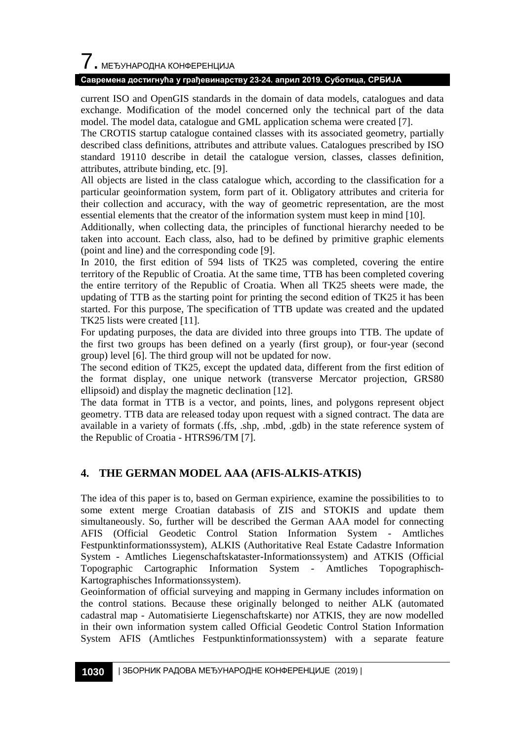# $\overline{\phantom{a}}$ . МЕЂУНАРОДНА КОНФЕРЕНЦИЈА

#### **Савремена достигнућа у грађевинарству 23-24. април 2019. Суботица, СРБИЈА**

current ISO and OpenGIS standards in the domain of data models, catalogues and data exchange. Modification of the model concerned only the technical part of the data model. The model data, catalogue and GML application schema were created [7].

The CROTIS startup catalogue contained classes with its associated geometry, partially described class definitions, attributes and attribute values. Catalogues prescribed by ISO standard 19110 describe in detail the catalogue version, classes, classes definition, attributes, attribute binding, etc. [9].

All objects are listed in the class catalogue which, according to the classification for a particular geoinformation system, form part of it. Obligatory attributes and criteria for their collection and accuracy, with the way of geometric representation, are the most essential elements that the creator of the information system must keep in mind [10].

Additionally, when collecting data, the principles of functional hierarchy needed to be taken into account. Each class, also, had to be defined by primitive graphic elements (point and line) and the corresponding code [9].

In 2010, the first edition of 594 lists of TK25 was completed, covering the entire territory of the Republic of Croatia. At the same time, TTB has been completed covering the entire territory of the Republic of Croatia. When all TK25 sheets were made, the updating of TTB as the starting point for printing the second edition of TK25 it has been started. For this purpose, The specification of TTB update was created and the updated TK25 lists were created [11].

For updating purposes, the data are divided into three groups into TTB. The update of the first two groups has been defined on a yearly (first group), or four-year (second group) level [6]. The third group will not be updated for now.

The second edition of TK25, except the updated data, different from the first edition of the format display, one unique network (transverse Mercator projection, GRS80 ellipsoid) and display the magnetic declination [12].

The data format in TTB is a vector, and points, lines, and polygons represent object geometry. TTB data are released today upon request with a signed contract. The data are available in a variety of formats (.ffs, .shp, .mbd, .gdb) in the state reference system of the Republic of Croatia - HTRS96/TM [7].

## **4. THE GERMAN MODEL AAA (AFIS-ALKIS-ATKIS)**

The idea of this paper is to, based on German expirience, examine the possibilities to to some extent merge Croatian databasis of ZIS and STOKIS and update them simultaneously. So, further will be described the German AAA model for connecting AFIS (Official Geodetic Control Station Information System - Amtliches Festpunktinformationssystem), ALKIS (Authoritative Real Estate Cadastre Information System - Amtliches Liegenschaftskataster-Informationssystem) and ATKIS (Official Topographic Cartographic Information System - Amtliches Topographisch-Kartographisches Informationssystem).

Geoinformation of official surveying and mapping in Germany includes information on the control stations. Because these originally belonged to neither ALK (automated cadastral map - Automatisierte Liegenschaftskarte) nor ATKIS, they are now modelled in their own information system called Official Geodetic Control Station Information System AFIS (Amtliches Festpunktinformationssystem) with a separate feature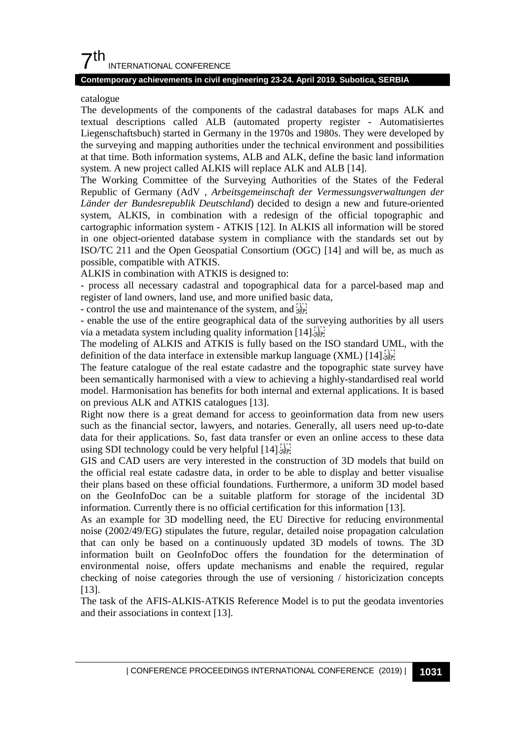## $7<sup>th</sup>$ INTERNATIONAL CONFERENCE

#### **Contemporary achievements in civil engineering 23-24. April 2019. Subotica, SERBIA**

#### catalogue

The developments of the components of the cadastral databases for maps ALK and textual descriptions called ALB (automated property register - Automatisiertes Liegenschaftsbuch) started in Germany in the 1970s and 1980s. They were developed by the surveying and mapping authorities under the technical environment and possibilities at that time. Both information systems, ALB and ALK, define the basic land information system. A new project called ALKIS will replace ALK and ALB [14].

The Working Committee of the Surveying Authorities of the States of the Federal Republic of Germany (AdV , *Arbeitsgemeinschaft der Vermessungsverwaltungen der Länder der Bundesrepublik Deutschland*) decided to design a new and future-oriented system, ALKIS, in combination with a redesign of the official topographic and cartographic information system - ATKIS [12]. In ALKIS all information will be stored in one object-oriented database system in compliance with the standards set out by ISO/TC 211 and the Open Geospatial Consortium (OGC) [14] and will be, as much as possible, compatible with ATKIS.

ALKIS in combination with ATKIS is designed to:

- process all necessary cadastral and topographical data for a parcel-based map and register of land owners, land use, and more unified basic data,

- control the use and maintenance of the system, and see

- enable the use of the entire geographical data of the surveying authorities by all users via a metadata system including quality information [14].

The modeling of ALKIS and ATKIS is fully based on the ISO standard UML, with the definition of the data interface in extensible markup language (XML) [14].

The feature catalogue of the real estate cadastre and the topographic state survey have been semantically harmonised with a view to achieving a highly-standardised real world model. Harmonisation has benefits for both internal and external applications. It is based on previous ALK and ATKIS catalogues [13].

Right now there is a great demand for access to geoinformation data from new users such as the financial sector, lawyers, and notaries. Generally, all users need up-to-date data for their applications. So, fast data transfer or even an online access to these data using SDI technology could be very helpful [14].

GIS and CAD users are very interested in the construction of 3D models that build on the official real estate cadastre data, in order to be able to display and better visualise their plans based on these official foundations. Furthermore, a uniform 3D model based on the GeoInfoDoc can be a suitable platform for storage of the incidental 3D information. Currently there is no official certification for this information [13].

As an example for 3D modelling need, the EU Directive for reducing environmental noise (2002/49/EG) stipulates the future, regular, detailed noise propagation calculation that can only be based on a continuously updated 3D models of towns. The 3D information built on GeoInfoDoc offers the foundation for the determination of environmental noise, offers update mechanisms and enable the required, regular checking of noise categories through the use of versioning / historicization concepts [13].

The task of the AFIS-ALKIS-ATKIS Reference Model is to put the geodata inventories and their associations in context [13].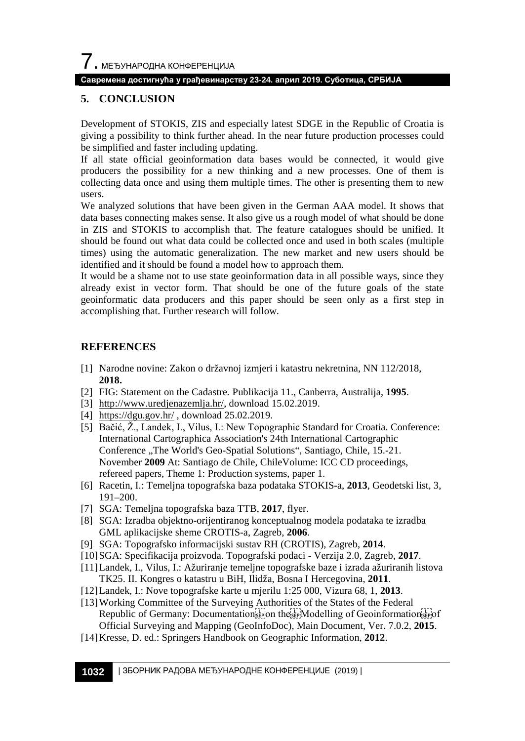## **Савремена достигнућа у грађевинарству 23-24. април 2019. Суботица, СРБИЈА**

## **5. CONCLUSION**

Development of STOKIS, ZIS and especially latest SDGE in the Republic of Croatia is giving a possibility to think further ahead. In the near future production processes could be simplified and faster including updating.

If all state official geoinformation data bases would be connected, it would give producers the possibility for a new thinking and a new processes. One of them is collecting data once and using them multiple times. The other is presenting them to new users.

We analyzed solutions that have been given in the German AAA model. It shows that data bases connecting makes sense. It also give us a rough model of what should be done in ZIS and STOKIS to accomplish that. The feature catalogues should be unified. It should be found out what data could be collected once and used in both scales (multiple times) using the automatic generalization. The new market and new users should be identified and it should be found a model how to approach them.

It would be a shame not to use state geoinformation data in all possible ways, since they already exist in vector form. That should be one of the future goals of the state geoinformatic data producers and this paper should be seen only as a first step in accomplishing that. Further research will follow.

#### **REFERENCES**

- [1] Narodne novine: Zakon o državnoj izmjeri i katastru nekretnina, NN 112/2018, **2018.**
- [2] FIG: Statement on the Cadastre*.* Publikacija 11., Canberra, Australija, **1995**.
- [3] [http://www.uredjenazemlja.hr/,](http://www.uredjenazemlja.hr/) download 15.02.2019.
- [4] <https://dgu.gov.hr/> , download 25.02.2019.
- [5] Bačić, Ž., Landek, I., Vilus, I.: New Topographic Standard for Croatia. Conference: International Cartographica Association's 24th International Cartographic Conference "The World's Geo-Spatial Solutions", Santiago, Chile, 15.-21. November **2009** At: Santiago de Chile, ChileVolume: ICC CD proceedings, refereed papers, Theme 1: Production systems, paper 1.
- [6] Racetin, I.: Temeljna topografska baza podataka STOKIS-a, **2013**, Geodetski list, 3, 191–200.
- [7] SGA: Temeljna topografska baza TTB, **2017**, flyer.
- [8] SGA: Izradba objektno-orijentiranog konceptualnog modela podataka te izradba GML aplikacijske sheme CROTIS-a, Zagreb, **2006**.
- [9] SGA: Topografsko informacijski sustav RH (CROTIS), Zagreb, **2014**.
- [10]SGA: Specifikacija proizvoda. Topografski podaci Verzija 2.0, Zagreb, **2017**.
- [11]Landek, I., Vilus, I.: Ažuriranje temeljne topografske baze i izrada ažuriranih listova TK25. II. Kongres o katastru u BiH, Ilidža, Bosna I Hercegovina, **2011**.
- [12]Landek, I.: Nove topografske karte u mjerilu 1:25 000, Vizura 68, 1, **2013**.
- [13]Working Committee of the Surveying Authorities of the States of the Federal Republic of Germany: Documentation  $\sum_{s \in P}$  on the sep Modelling of Geoinformation  $\sum_{s \in P}$  of Official Surveying and Mapping (GeoInfoDoc), Main Document, Ver. 7.0.2, **2015**.
- [14]Kresse, D. ed.: Springers Handbook on Geographic Information, **2012**.